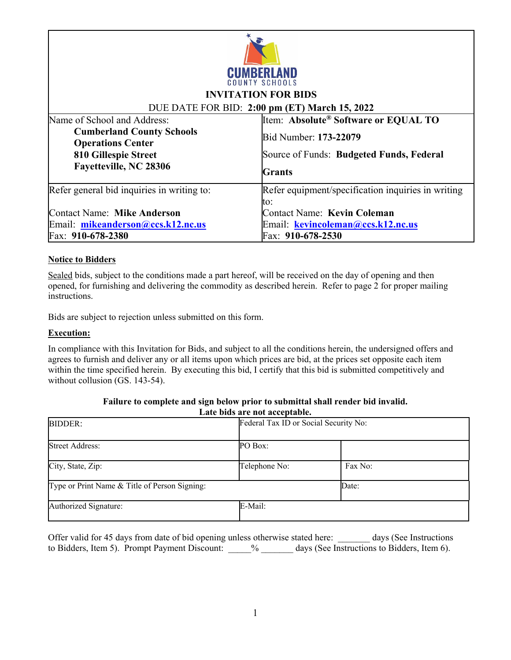

#### **INVITATION FOR BIDS**

| DUE DATE FOR BID: 2:00 pm (ET) March 15, 2022 |  |  |  |  |  |
|-----------------------------------------------|--|--|--|--|--|
|-----------------------------------------------|--|--|--|--|--|

| Name of School and Address:                                                                                    | Item: Absolute <sup>®</sup> Software or EQUAL TO                                   |
|----------------------------------------------------------------------------------------------------------------|------------------------------------------------------------------------------------|
| <b>Cumberland County Schools</b><br><b>Operations Center</b><br>810 Gillespie Street<br>Fayetteville, NC 28306 | Bid Number: 173-22079<br>Source of Funds: Budgeted Funds, Federal<br><b>Grants</b> |
| Refer general bid inquiries in writing to:                                                                     | Refer equipment/specification inquiries in writing                                 |
|                                                                                                                | to:                                                                                |
| <b>Contact Name: Mike Anderson</b>                                                                             | <b>Contact Name: Kevin Coleman</b>                                                 |
| Email: mikeanderson@ccs.k12.nc.us                                                                              | Email: kevincoleman@ccs.k12.nc.us                                                  |
| Fax: 910-678-2380                                                                                              | Fax: 910-678-2530                                                                  |

#### **Notice to Bidders**

Sealed bids, subject to the conditions made a part hereof, will be received on the day of opening and then opened, for furnishing and delivering the commodity as described herein. Refer to page 2 for proper mailing instructions.

Bids are subject to rejection unless submitted on this form.

### **Execution:**

In compliance with this Invitation for Bids, and subject to all the conditions herein, the undersigned offers and agrees to furnish and deliver any or all items upon which prices are bid, at the prices set opposite each item within the time specified herein. By executing this bid, I certify that this bid is submitted competitively and without collusion (GS. 143-54).

| BIDDER:                                       | Federal Tax ID or Social Security No: |         |
|-----------------------------------------------|---------------------------------------|---------|
| <b>Street Address:</b>                        | PO Box:                               |         |
| City, State, Zip:                             | Telephone No:                         | Fax No: |
| Type or Print Name & Title of Person Signing: |                                       | Date:   |
| Authorized Signature:                         | E-Mail:                               |         |

**Failure to complete and sign below prior to submittal shall render bid invalid. Late bids are not acceptable.**

Offer valid for 45 days from date of bid opening unless otherwise stated here: days (See Instructions to Bidders, Item 5). Prompt Payment Discount: \_\_\_\_\_% \_\_\_\_\_\_ days (See Instructions to Bidders, Item 6).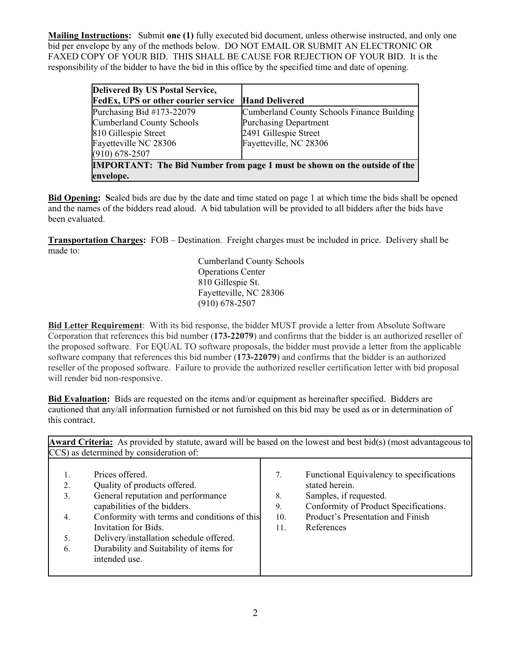**Mailing Instructions:** Submit **one (1)** fully executed bid document, unless otherwise instructed, and only one bid per envelope by any of the methods below. DO NOT EMAIL OR SUBMIT AN ELECTRONIC OR FAXED COPY OF YOUR BID. THIS SHALL BE CAUSE FOR REJECTION OF YOUR BID. It is the responsibility of the bidder to have the bid in this office by the specified time and date of opening.

| Delivered By US Postal Service,            |                                                                                  |
|--------------------------------------------|----------------------------------------------------------------------------------|
| <b>FedEx, UPS or other courier service</b> | <b>Hand Delivered</b>                                                            |
| Purchasing Bid $#173-22079$                | Cumberland County Schools Finance Building                                       |
| Cumberland County Schools                  | <b>Purchasing Department</b>                                                     |
| 810 Gillespie Street                       | 2491 Gillespie Street                                                            |
| Fayetteville NC 28306                      | Fayetteville, NC 28306                                                           |
| $(910) 678 - 2507$                         |                                                                                  |
|                                            | <b>IMPORTANT:</b> The Bid Number from page 1 must be shown on the outside of the |
| envelope.                                  |                                                                                  |

**Bid Opening: S**ealed bids are due by the date and time stated on page 1 at which time the bids shall be opened and the names of the bidders read aloud. A bid tabulation will be provided to all bidders after the bids have been evaluated.

**Transportation Charges:** FOB – Destination. Freight charges must be included in price. Delivery shall be made to:

> Cumberland County Schools Operations Center 810 Gillespie St. Fayetteville, NC 28306 (910) 678-2507

**Bid Letter Requirement**: With its bid response, the bidder MUST provide a letter from Absolute Software Corporation that references this bid number (**173-22079**) and confirms that the bidder is an authorized reseller of the proposed software. For EQUAL TO software proposals, the bidder must provide a letter from the applicable software company that references this bid number (**173-22079**) and confirms that the bidder is an authorized reseller of the proposed software. Failure to provide the authorized reseller certification letter with bid proposal will render bid non-responsive.

**Bid Evaluation:** Bids are requested on the items and/or equipment as hereinafter specified. Bidders are cautioned that any/all information furnished or not furnished on this bid may be used as or in determination of this contract.

|                | <b>Award Criteria:</b> As provided by statute, award will be based on the lowest and best bid(s) (most advantageous to<br>CCS) as determined by consideration of: |                |                                                                                                                               |
|----------------|-------------------------------------------------------------------------------------------------------------------------------------------------------------------|----------------|-------------------------------------------------------------------------------------------------------------------------------|
| 1.<br>2.<br>3. | Prices offered.<br>Quality of products offered.<br>General reputation and performance<br>capabilities of the bidders.                                             | 7.<br>8.<br>9. | Functional Equivalency to specifications<br>stated herein.<br>Samples, if requested.<br>Conformity of Product Specifications. |
| 4.<br>5.       | Conformity with terms and conditions of this<br>Invitation for Bids.<br>Delivery/installation schedule offered.                                                   | 10.<br>11.     | Product's Presentation and Finish<br>References                                                                               |
| 6.             | Durability and Suitability of items for<br>intended use.                                                                                                          |                |                                                                                                                               |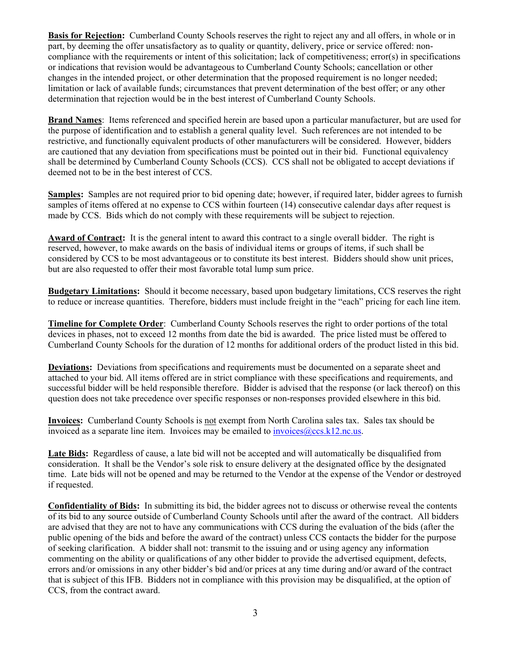**Basis for Rejection:** Cumberland County Schools reserves the right to reject any and all offers, in whole or in part, by deeming the offer unsatisfactory as to quality or quantity, delivery, price or service offered: noncompliance with the requirements or intent of this solicitation; lack of competitiveness; error(s) in specifications or indications that revision would be advantageous to Cumberland County Schools; cancellation or other changes in the intended project, or other determination that the proposed requirement is no longer needed; limitation or lack of available funds; circumstances that prevent determination of the best offer; or any other determination that rejection would be in the best interest of Cumberland County Schools.

**Brand Names**: Items referenced and specified herein are based upon a particular manufacturer, but are used for the purpose of identification and to establish a general quality level. Such references are not intended to be restrictive, and functionally equivalent products of other manufacturers will be considered. However, bidders are cautioned that any deviation from specifications must be pointed out in their bid. Functional equivalency shall be determined by Cumberland County Schools (CCS). CCS shall not be obligated to accept deviations if deemed not to be in the best interest of CCS.

**Samples:** Samples are not required prior to bid opening date; however, if required later, bidder agrees to furnish samples of items offered at no expense to CCS within fourteen (14) consecutive calendar days after request is made by CCS. Bids which do not comply with these requirements will be subject to rejection.

**Award of Contract:** It is the general intent to award this contract to a single overall bidder. The right is reserved, however, to make awards on the basis of individual items or groups of items, if such shall be considered by CCS to be most advantageous or to constitute its best interest. Bidders should show unit prices, but are also requested to offer their most favorable total lump sum price.

**Budgetary Limitations:** Should it become necessary, based upon budgetary limitations, CCS reserves the right to reduce or increase quantities. Therefore, bidders must include freight in the "each" pricing for each line item.

**Timeline for Complete Order**: Cumberland County Schools reserves the right to order portions of the total devices in phases, not to exceed 12 months from date the bid is awarded. The price listed must be offered to Cumberland County Schools for the duration of 12 months for additional orders of the product listed in this bid.

**Deviations:** Deviations from specifications and requirements must be documented on a separate sheet and attached to your bid. All items offered are in strict compliance with these specifications and requirements, and successful bidder will be held responsible therefore. Bidder is advised that the response (or lack thereof) on this question does not take precedence over specific responses or non-responses provided elsewhere in this bid.

**Invoices:** Cumberland County Schools is not exempt from North Carolina sales tax. Sales tax should be invoiced as a separate line item. Invoices may be emailed to  $invioces@ccs.k12.nc.us.$ 

**Late Bids:** Regardless of cause, a late bid will not be accepted and will automatically be disqualified from consideration. It shall be the Vendor's sole risk to ensure delivery at the designated office by the designated time. Late bids will not be opened and may be returned to the Vendor at the expense of the Vendor or destroyed if requested.

**Confidentiality of Bids:** In submitting its bid, the bidder agrees not to discuss or otherwise reveal the contents of its bid to any source outside of Cumberland County Schools until after the award of the contract. All bidders are advised that they are not to have any communications with CCS during the evaluation of the bids (after the public opening of the bids and before the award of the contract) unless CCS contacts the bidder for the purpose of seeking clarification. A bidder shall not: transmit to the issuing and or using agency any information commenting on the ability or qualifications of any other bidder to provide the advertised equipment, defects, errors and/or omissions in any other bidder's bid and/or prices at any time during and/or award of the contract that is subject of this IFB. Bidders not in compliance with this provision may be disqualified, at the option of CCS, from the contract award.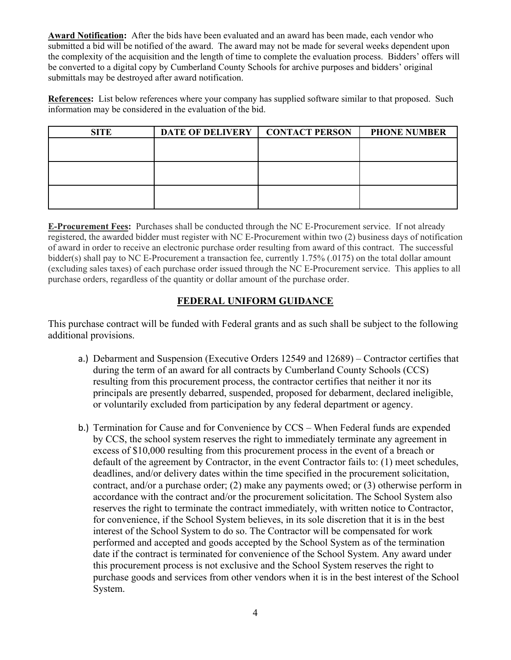**Award Notification:** After the bids have been evaluated and an award has been made, each vendor who submitted a bid will be notified of the award. The award may not be made for several weeks dependent upon the complexity of the acquisition and the length of time to complete the evaluation process. Bidders' offers will be converted to a digital copy by Cumberland County Schools for archive purposes and bidders' original submittals may be destroyed after award notification.

**References:** List below references where your company has supplied software similar to that proposed. Such information may be considered in the evaluation of the bid.

| <b>SITE</b> | DATE OF DELIVERY   CONTACT PERSON | <b>PHONE NUMBER</b> |
|-------------|-----------------------------------|---------------------|
|             |                                   |                     |
|             |                                   |                     |
|             |                                   |                     |
|             |                                   |                     |
|             |                                   |                     |
|             |                                   |                     |

**E-Procurement Fees:** Purchases shall be conducted through the NC E-Procurement service. If not already registered, the awarded bidder must register with NC E-Procurement within two (2) business days of notification of award in order to receive an electronic purchase order resulting from award of this contract. The successful bidder(s) shall pay to NC E-Procurement a transaction fee, currently 1.75% (.0175) on the total dollar amount (excluding sales taxes) of each purchase order issued through the NC E-Procurement service. This applies to all purchase orders, regardless of the quantity or dollar amount of the purchase order.

# **FEDERAL UNIFORM GUIDANCE**

This purchase contract will be funded with Federal grants and as such shall be subject to the following additional provisions.

- a.) Debarment and Suspension (Executive Orders 12549 and 12689) Contractor certifies that during the term of an award for all contracts by Cumberland County Schools (CCS) resulting from this procurement process, the contractor certifies that neither it nor its principals are presently debarred, suspended, proposed for debarment, declared ineligible, or voluntarily excluded from participation by any federal department or agency.
- b.) Termination for Cause and for Convenience by CCS When Federal funds are expended by CCS, the school system reserves the right to immediately terminate any agreement in excess of \$10,000 resulting from this procurement process in the event of a breach or default of the agreement by Contractor, in the event Contractor fails to: (1) meet schedules, deadlines, and/or delivery dates within the time specified in the procurement solicitation, contract, and/or a purchase order; (2) make any payments owed; or (3) otherwise perform in accordance with the contract and/or the procurement solicitation. The School System also reserves the right to terminate the contract immediately, with written notice to Contractor, for convenience, if the School System believes, in its sole discretion that it is in the best interest of the School System to do so. The Contractor will be compensated for work performed and accepted and goods accepted by the School System as of the termination date if the contract is terminated for convenience of the School System. Any award under this procurement process is not exclusive and the School System reserves the right to purchase goods and services from other vendors when it is in the best interest of the School System.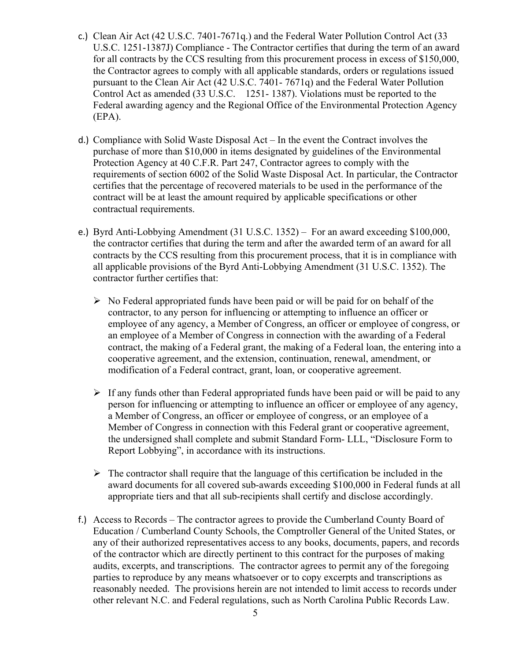- c.) Clean Air Act (42 U.S.C. 7401-7671q.) and the Federal Water Pollution Control Act (33 U.S.C. 1251-1387J) Compliance - The Contractor certifies that during the term of an award for all contracts by the CCS resulting from this procurement process in excess of \$150,000, the Contractor agrees to comply with all applicable standards, orders or regulations issued pursuant to the Clean Air Act (42 U.S.C. 7401- 7671q) and the Federal Water Pollution Control Act as amended (33 U.S.C. 1251- 1387). Violations must be reported to the Federal awarding agency and the Regional Office of the Environmental Protection Agency (EPA).
- d.) Compliance with Solid Waste Disposal Act In the event the Contract involves the purchase of more than \$10,000 in items designated by guidelines of the Environmental Protection Agency at 40 C.F.R. Part 247, Contractor agrees to comply with the requirements of section 6002 of the Solid Waste Disposal Act. In particular, the Contractor certifies that the percentage of recovered materials to be used in the performance of the contract will be at least the amount required by applicable specifications or other contractual requirements.
- e.) Byrd Anti-Lobbying Amendment (31 U.S.C. 1352) For an award exceeding \$100,000, the contractor certifies that during the term and after the awarded term of an award for all contracts by the CCS resulting from this procurement process, that it is in compliance with all applicable provisions of the Byrd Anti-Lobbying Amendment (31 U.S.C. 1352). The contractor further certifies that:
	- $\triangleright$  No Federal appropriated funds have been paid or will be paid for on behalf of the contractor, to any person for influencing or attempting to influence an officer or employee of any agency, a Member of Congress, an officer or employee of congress, or an employee of a Member of Congress in connection with the awarding of a Federal contract, the making of a Federal grant, the making of a Federal loan, the entering into a cooperative agreement, and the extension, continuation, renewal, amendment, or modification of a Federal contract, grant, loan, or cooperative agreement.
	- $\triangleright$  If any funds other than Federal appropriated funds have been paid or will be paid to any person for influencing or attempting to influence an officer or employee of any agency, a Member of Congress, an officer or employee of congress, or an employee of a Member of Congress in connection with this Federal grant or cooperative agreement, the undersigned shall complete and submit Standard Form- LLL, "Disclosure Form to Report Lobbying", in accordance with its instructions.
	- $\triangleright$  The contractor shall require that the language of this certification be included in the award documents for all covered sub-awards exceeding \$100,000 in Federal funds at all appropriate tiers and that all sub-recipients shall certify and disclose accordingly.
- f.) Access to Records The contractor agrees to provide the Cumberland County Board of Education / Cumberland County Schools, the Comptroller General of the United States, or any of their authorized representatives access to any books, documents, papers, and records of the contractor which are directly pertinent to this contract for the purposes of making audits, excerpts, and transcriptions. The contractor agrees to permit any of the foregoing parties to reproduce by any means whatsoever or to copy excerpts and transcriptions as reasonably needed. The provisions herein are not intended to limit access to records under other relevant N.C. and Federal regulations, such as North Carolina Public Records Law.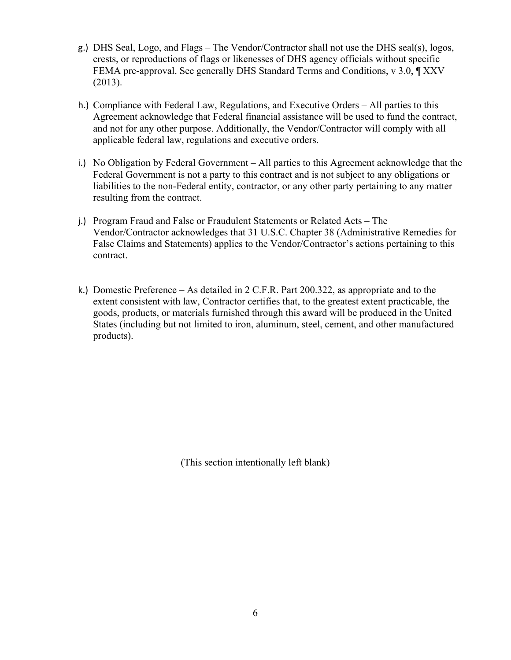- g.) DHS Seal, Logo, and Flags The Vendor/Contractor shall not use the DHS seal(s), logos, crests, or reproductions of flags or likenesses of DHS agency officials without specific FEMA pre-approval. See generally DHS Standard Terms and Conditions, v 3.0, ¶ XXV (2013).
- h.) Compliance with Federal Law, Regulations, and Executive Orders All parties to this Agreement acknowledge that Federal financial assistance will be used to fund the contract, and not for any other purpose. Additionally, the Vendor/Contractor will comply with all applicable federal law, regulations and executive orders.
- i.) No Obligation by Federal Government All parties to this Agreement acknowledge that the Federal Government is not a party to this contract and is not subject to any obligations or liabilities to the non-Federal entity, contractor, or any other party pertaining to any matter resulting from the contract.
- j.) Program Fraud and False or Fraudulent Statements or Related Acts The Vendor/Contractor acknowledges that 31 U.S.C. Chapter 38 (Administrative Remedies for False Claims and Statements) applies to the Vendor/Contractor's actions pertaining to this contract.
- k.) Domestic Preference As detailed in 2 C.F.R. Part 200.322, as appropriate and to the extent consistent with law, Contractor certifies that, to the greatest extent practicable, the goods, products, or materials furnished through this award will be produced in the United States (including but not limited to iron, aluminum, steel, cement, and other manufactured products).

(This section intentionally left blank)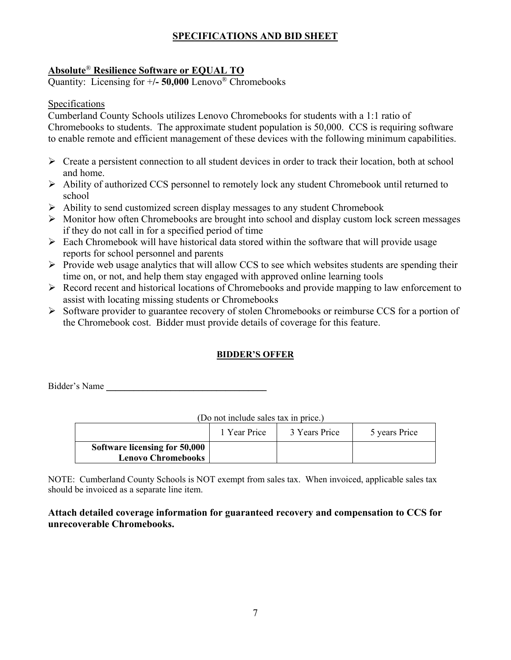# **SPECIFICATIONS AND BID SHEET**

# **Absolute**® **Resilience Software or EQUAL TO**

Quantity: Licensing for +**/- 50,000** Lenovo® Chromebooks

### Specifications

Cumberland County Schools utilizes Lenovo Chromebooks for students with a 1:1 ratio of Chromebooks to students. The approximate student population is 50,000. CCS is requiring software to enable remote and efficient management of these devices with the following minimum capabilities.

- $\triangleright$  Create a persistent connection to all student devices in order to track their location, both at school and home.
- Ability of authorized CCS personnel to remotely lock any student Chromebook until returned to school
- $\triangleright$  Ability to send customized screen display messages to any student Chromebook
- $\triangleright$  Monitor how often Chromebooks are brought into school and display custom lock screen messages if they do not call in for a specified period of time
- $\triangleright$  Each Chromebook will have historical data stored within the software that will provide usage reports for school personnel and parents
- $\triangleright$  Provide web usage analytics that will allow CCS to see which websites students are spending their time on, or not, and help them stay engaged with approved online learning tools
- $\triangleright$  Record recent and historical locations of Chromebooks and provide mapping to law enforcement to assist with locating missing students or Chromebooks
- $\triangleright$  Software provider to guarantee recovery of stolen Chromebooks or reimburse CCS for a portion of the Chromebook cost. Bidder must provide details of coverage for this feature.

# **BIDDER'S OFFER**

Bidder's Name

| (Do not include sales tax in price.) |              |               |               |  |
|--------------------------------------|--------------|---------------|---------------|--|
|                                      | 1 Year Price | 3 Years Price | 5 years Price |  |
| Software licensing for 50,000        |              |               |               |  |
| <b>Lenovo Chromebooks</b>            |              |               |               |  |

NOTE: Cumberland County Schools is NOT exempt from sales tax. When invoiced, applicable sales tax should be invoiced as a separate line item.

### **Attach detailed coverage information for guaranteed recovery and compensation to CCS for unrecoverable Chromebooks.**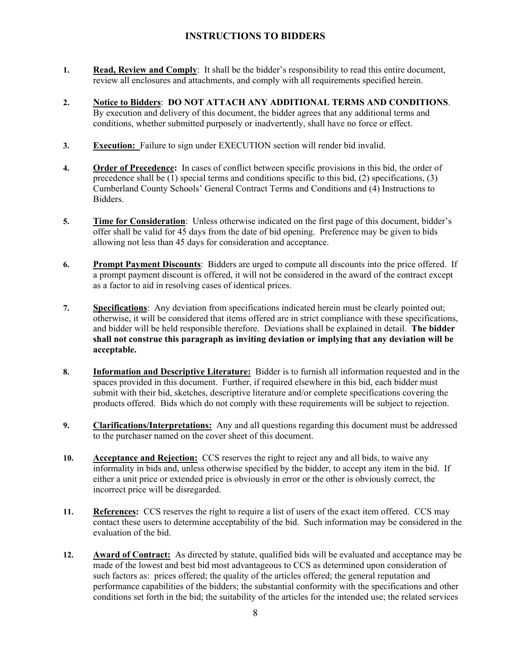# **INSTRUCTIONS TO BIDDERS**

- **1. Read, Review and Comply**: It shall be the bidder's responsibility to read this entire document, review all enclosures and attachments, and comply with all requirements specified herein.
- **2. Notice to Bidders**: **DO NOT ATTACH ANY ADDITIONAL TERMS AND CONDITIONS**. By execution and delivery of this document, the bidder agrees that any additional terms and conditions, whether submitted purposely or inadvertently, shall have no force or effect.
- **3. Execution:** Failure to sign under EXECUTION section will render bid invalid.
- **4. Order of Precedence:** In cases of conflict between specific provisions in this bid, the order of precedence shall be  $(1)$  special terms and conditions specific to this bid,  $(2)$  specifications,  $(3)$ Cumberland County Schools' General Contract Terms and Conditions and (4) Instructions to Bidders.
- **5. Time for Consideration**: Unless otherwise indicated on the first page of this document, bidder's offer shall be valid for 45 days from the date of bid opening. Preference may be given to bids allowing not less than 45 days for consideration and acceptance.
- **6. Prompt Payment Discounts**: Bidders are urged to compute all discounts into the price offered. If a prompt payment discount is offered, it will not be considered in the award of the contract except as a factor to aid in resolving cases of identical prices.
- **7. Specifications**: Any deviation from specifications indicated herein must be clearly pointed out; otherwise, it will be considered that items offered are in strict compliance with these specifications, and bidder will be held responsible therefore. Deviations shall be explained in detail. **The bidder shall not construe this paragraph as inviting deviation or implying that any deviation will be acceptable.**
- **8. Information and Descriptive Literature:** Bidder is to furnish all information requested and in the spaces provided in this document. Further, if required elsewhere in this bid, each bidder must submit with their bid, sketches, descriptive literature and/or complete specifications covering the products offered. Bids which do not comply with these requirements will be subject to rejection.
- **9. Clarifications/Interpretations:** Any and all questions regarding this document must be addressed to the purchaser named on the cover sheet of this document.
- **10. Acceptance and Rejection:** CCS reserves the right to reject any and all bids, to waive any informality in bids and, unless otherwise specified by the bidder, to accept any item in the bid. If either a unit price or extended price is obviously in error or the other is obviously correct, the incorrect price will be disregarded.
- **11. References:** CCS reserves the right to require a list of users of the exact item offered. CCS may contact these users to determine acceptability of the bid. Such information may be considered in the evaluation of the bid.
- **12. Award of Contract:** As directed by statute, qualified bids will be evaluated and acceptance may be made of the lowest and best bid most advantageous to CCS as determined upon consideration of such factors as: prices offered; the quality of the articles offered; the general reputation and performance capabilities of the bidders; the substantial conformity with the specifications and other conditions set forth in the bid; the suitability of the articles for the intended use; the related services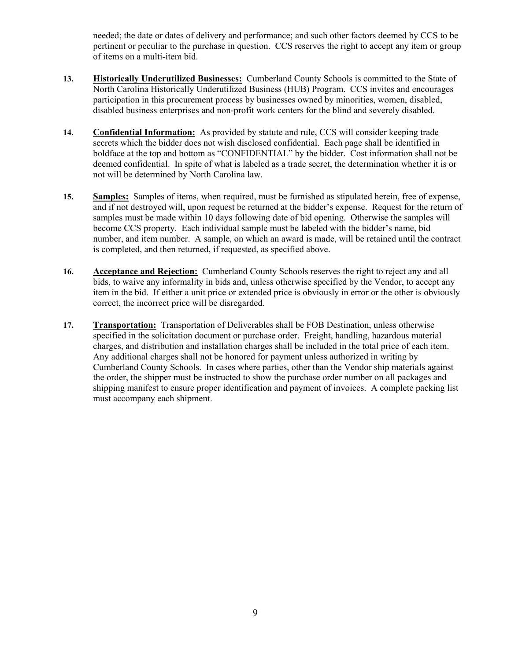needed; the date or dates of delivery and performance; and such other factors deemed by CCS to be pertinent or peculiar to the purchase in question. CCS reserves the right to accept any item or group of items on a multi-item bid.

- **13. Historically Underutilized Businesses:** Cumberland County Schools is committed to the State of North Carolina Historically Underutilized Business (HUB) Program. CCS invites and encourages participation in this procurement process by businesses owned by minorities, women, disabled, disabled business enterprises and non-profit work centers for the blind and severely disabled.
- **14. Confidential Information:** As provided by statute and rule, CCS will consider keeping trade secrets which the bidder does not wish disclosed confidential. Each page shall be identified in boldface at the top and bottom as "CONFIDENTIAL" by the bidder. Cost information shall not be deemed confidential. In spite of what is labeled as a trade secret, the determination whether it is or not will be determined by North Carolina law.
- **15. Samples:** Samples of items, when required, must be furnished as stipulated herein, free of expense, and if not destroyed will, upon request be returned at the bidder's expense. Request for the return of samples must be made within 10 days following date of bid opening. Otherwise the samples will become CCS property. Each individual sample must be labeled with the bidder's name, bid number, and item number. A sample, on which an award is made, will be retained until the contract is completed, and then returned, if requested, as specified above.
- **16. Acceptance and Rejection:** Cumberland County Schools reserves the right to reject any and all bids, to waive any informality in bids and, unless otherwise specified by the Vendor, to accept any item in the bid. If either a unit price or extended price is obviously in error or the other is obviously correct, the incorrect price will be disregarded.
- **17. Transportation:** Transportation of Deliverables shall be FOB Destination, unless otherwise specified in the solicitation document or purchase order. Freight, handling, hazardous material charges, and distribution and installation charges shall be included in the total price of each item. Any additional charges shall not be honored for payment unless authorized in writing by Cumberland County Schools. In cases where parties, other than the Vendor ship materials against the order, the shipper must be instructed to show the purchase order number on all packages and shipping manifest to ensure proper identification and payment of invoices. A complete packing list must accompany each shipment.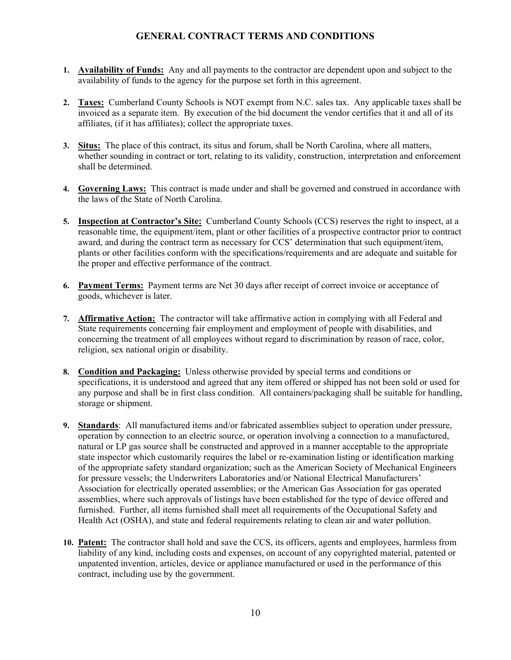# **GENERAL CONTRACT TERMS AND CONDITIONS**

- **1. Availability of Funds:** Any and all payments to the contractor are dependent upon and subject to the availability of funds to the agency for the purpose set forth in this agreement.
- **2. Taxes:** Cumberland County Schools is NOT exempt from N.C. sales tax. Any applicable taxes shall be invoiced as a separate item. By execution of the bid document the vendor certifies that it and all of its affiliates, (if it has affiliates); collect the appropriate taxes.
- **3. Situs:** The place of this contract, its situs and forum, shall be North Carolina, where all matters, whether sounding in contract or tort, relating to its validity, construction, interpretation and enforcement shall be determined.
- **4. Governing Laws:** This contract is made under and shall be governed and construed in accordance with the laws of the State of North Carolina.
- **5. Inspection at Contractor's Site:** Cumberland County Schools (CCS) reserves the right to inspect, at a reasonable time, the equipment/item, plant or other facilities of a prospective contractor prior to contract award, and during the contract term as necessary for CCS' determination that such equipment/item, plants or other facilities conform with the specifications/requirements and are adequate and suitable for the proper and effective performance of the contract.
- **6. Payment Terms:** Payment terms are Net 30 days after receipt of correct invoice or acceptance of goods, whichever is later.
- **7. Affirmative Action:** The contractor will take affirmative action in complying with all Federal and State requirements concerning fair employment and employment of people with disabilities, and concerning the treatment of all employees without regard to discrimination by reason of race, color, religion, sex national origin or disability.
- **8. Condition and Packaging:** Unless otherwise provided by special terms and conditions or specifications, it is understood and agreed that any item offered or shipped has not been sold or used for any purpose and shall be in first class condition. All containers/packaging shall be suitable for handling, storage or shipment.
- **9. Standards**: All manufactured items and/or fabricated assemblies subject to operation under pressure, operation by connection to an electric source, or operation involving a connection to a manufactured, natural or LP gas source shall be constructed and approved in a manner acceptable to the appropriate state inspector which customarily requires the label or re-examination listing or identification marking of the appropriate safety standard organization; such as the American Society of Mechanical Engineers for pressure vessels; the Underwriters Laboratories and/or National Electrical Manufacturers' Association for electrically operated assemblies; or the American Gas Association for gas operated assemblies, where such approvals of listings have been established for the type of device offered and furnished. Further, all items furnished shall meet all requirements of the Occupational Safety and Health Act (OSHA), and state and federal requirements relating to clean air and water pollution.
- **10. Patent:** The contractor shall hold and save the CCS, its officers, agents and employees, harmless from liability of any kind, including costs and expenses, on account of any copyrighted material, patented or unpatented invention, articles, device or appliance manufactured or used in the performance of this contract, including use by the government.